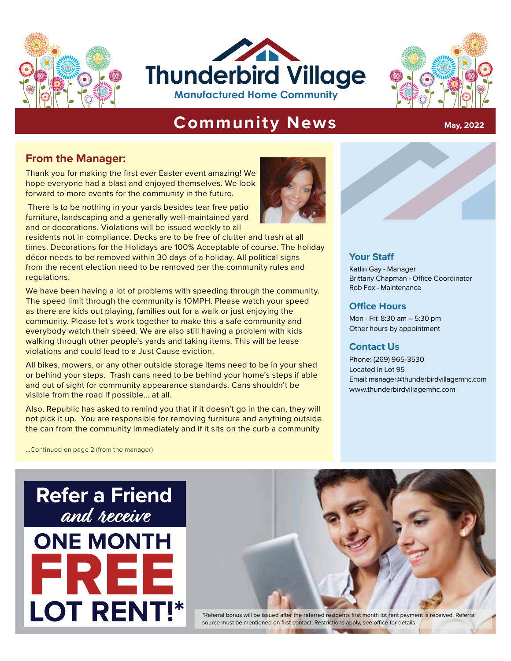





### **Community News** May, 2022

#### **From the Manager:**

Thank you for making the first ever Easter event amazing! We hope everyone had a blast and enjoyed themselves. We look forward to more events for the community in the future.

 There is to be nothing in your yards besides tear free patio furniture, landscaping and a generally well-maintained yard and or decorations. Violations will be issued weekly to all

**Phe Holidays are 100% Acceptable of course. The holiday<br>
Pineed within 30 days of a holiday. All political signs<br>
<b>Pinemia and**<br> **Pinemia and**<br> **Pinemia and**<br> **Pinemia and**<br> **Pinemia and**<br> **Pinemia and**<br> **Pinemia and**<br> **P** residents not in compliance. Decks are to be free of clutter and trash at all times. Decorations for the Holidays are 100% Acceptable of course. The holiday décor needs to be removed within 30 days of a holiday. All political signs from the recent election need to be removed per the community rules and regulations.

**Are to make this a safe community and the Mon-Fri: 8:30 am – 5:30 pm<br>
<b>e also still having a problem with kids** Other hours by appointment<br> **s and taking items. This will be lease Contact Us** We have been having a lot of problems with speeding through the community. The speed limit through the community is 10MPH. Please watch your speed as there are kids out playing, families out for a walk or just enjoying the community. Please let's work together to make this a safe community and everybody watch their speed. We are also still having a problem with kids walking through other people's yards and taking items. This will be lease violations and could lead to a Just Cause eviction.

All bikes, mowers, or any other outside storage items need to be in your shed or behind your steps. Trash cans need to be behind your home's steps if able and out of sight for community appearance standards. Cans shouldn't be visible from the road if possible... at all.

Also, Republic has asked to remind you that if it doesn't go in the can, they will not pick it up. You are responsible for removing furniture and anything outside the can from the community immediately and if it sits on the curb a community



#### **Your Staff**

Katlin Gay - Manager Brittany Chapman - Office Coordinator Rob Fox - Maintenance

#### **Office Hours**

Mon - Fri: 8:30 am – 5:30 pm Other hours by appointment

#### **Contact Us**

Phone: (269) 965-3530 Located in Lot 95 Email: manager@thunderbirdvillagemhc.com www.thunderbirdvillagemhc.com

...Continued on page 2 (from the manager)

## **Refer a Friend** and receive **ONE MONTH** FREE **LOT RENT!\***



source must be mentioned on first contact. Restrictions apply, see office for details.